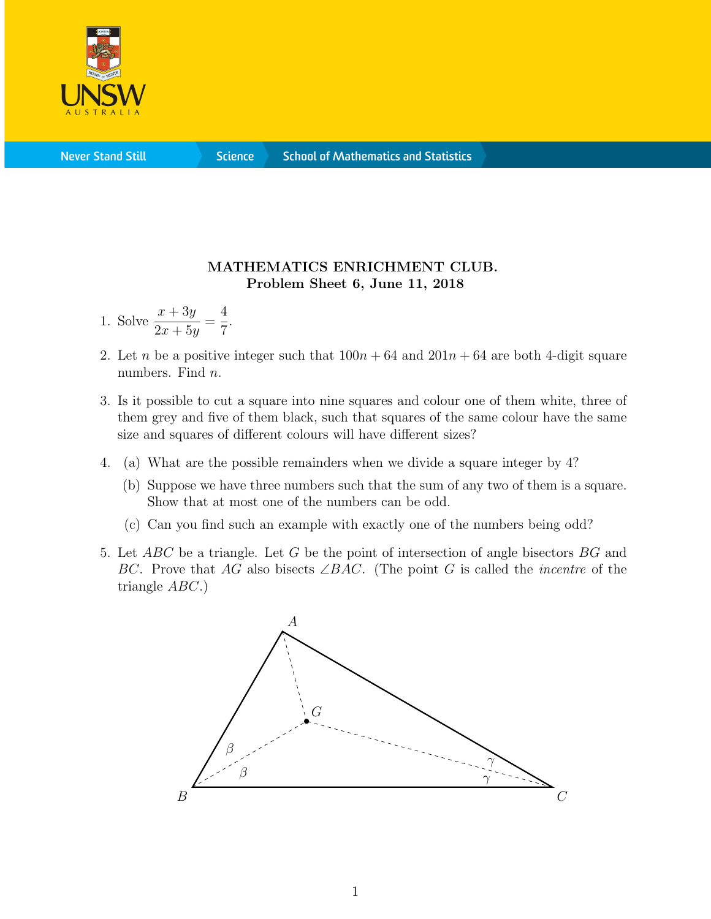

**Science** 

## MATHEMATICS ENRICHMENT CLUB. Problem Sheet 6, June 11, 2018

- 1. Solve  $\frac{x + 3y}{2}$  $2x + 5y$ = 4 7 .
- 2. Let n be a positive integer such that  $100n + 64$  and  $201n + 64$  are both 4-digit square numbers. Find *n*.
- 3. Is it possible to cut a square into nine squares and colour one of them white, three of them grey and five of them black, such that squares of the same colour have the same size and squares of different colours will have different sizes?
- 4. (a) What are the possible remainders when we divide a square integer by 4?
	- (b) Suppose we have three numbers such that the sum of any two of them is a square. Show that at most one of the numbers can be odd.
	- (c) Can you find such an example with exactly one of the numbers being odd?
- 5. Let  $ABC$  be a triangle. Let G be the point of intersection of angle bisectors  $BG$  and BC. Prove that AG also bisects  $\angle BAC$ . (The point G is called the *incentre* of the triangle ABC.)